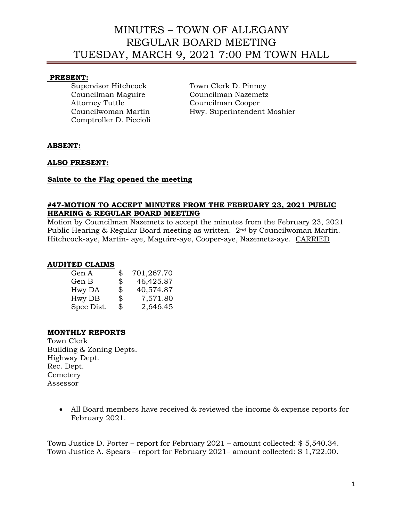# MINUTES – TOWN OF ALLEGANY REGULAR BOARD MEETING TUESDAY, MARCH 9, 2021 7:00 PM TOWN HALL

#### **PRESENT:**

Attorney Tuttle Councilman Cooper Comptroller D. Piccioli

Supervisor Hitchcock Town Clerk D. Pinney Councilman Maguire Councilman Nazemetz Councilwoman Martin Hwy. Superintendent Moshier

### **ABSENT:**

### **ALSO PRESENT:**

#### **Salute to the Flag opened the meeting**

#### **#47-MOTION TO ACCEPT MINUTES FROM THE FEBRUARY 23, 2021 PUBLIC HEARING & REGULAR BOARD MEETING**

Motion by Councilman Nazemetz to accept the minutes from the February 23, 2021 Public Hearing & Regular Board meeting as written. 2nd by Councilwoman Martin. Hitchcock-aye, Martin- aye, Maguire-aye, Cooper-aye, Nazemetz-aye. CARRIED

#### **AUDITED CLAIMS**

| Gen A      | \$             | 701,267.70 |
|------------|----------------|------------|
| Gen B      | $\mathfrak{P}$ | 46,425.87  |
| Hwy DA     | \$             | 40,574.87  |
| Hwy DB     | \$             | 7,571.80   |
| Spec Dist. | \$             | 2,646.45   |

### **MONTHLY REPORTS**

Town Clerk Building & Zoning Depts. Highway Dept. Rec. Dept. **Cemetery** Assessor

> • All Board members have received & reviewed the income & expense reports for February 2021.

Town Justice D. Porter – report for February 2021 – amount collected: \$ 5,540.34. Town Justice A. Spears – report for February 2021– amount collected: \$ 1,722.00.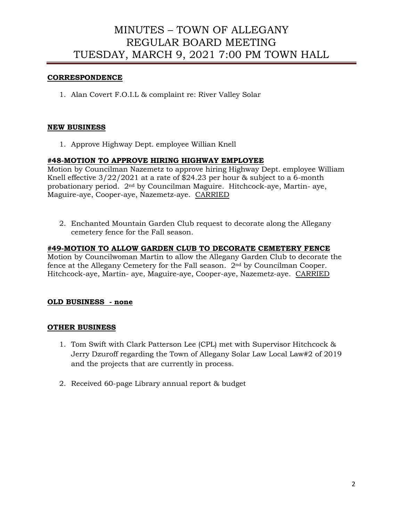# MINUTES – TOWN OF ALLEGANY REGULAR BOARD MEETING TUESDAY, MARCH 9, 2021 7:00 PM TOWN HALL

## **CORRESPONDENCE**

1. Alan Covert F.O.I.L & complaint re: River Valley Solar

### **NEW BUSINESS**

1. Approve Highway Dept. employee Willian Knell

## **#48-MOTION TO APPROVE HIRING HIGHWAY EMPLOYEE**

Motion by Councilman Nazemetz to approve hiring Highway Dept. employee William Knell effective 3/22/2021 at a rate of \$24.23 per hour & subject to a 6-month probationary period. 2nd by Councilman Maguire. Hitchcock-aye, Martin- aye, Maguire-aye, Cooper-aye, Nazemetz-aye. CARRIED

2. Enchanted Mountain Garden Club request to decorate along the Allegany cemetery fence for the Fall season.

## **#49-MOTION TO ALLOW GARDEN CLUB TO DECORATE CEMETERY FENCE**

Motion by Councilwoman Martin to allow the Allegany Garden Club to decorate the fence at the Allegany Cemetery for the Fall season. 2nd by Councilman Cooper. Hitchcock-aye, Martin- aye, Maguire-aye, Cooper-aye, Nazemetz-aye. CARRIED

### **OLD BUSINESS - none**

### **OTHER BUSINESS**

- 1. Tom Swift with Clark Patterson Lee (CPL) met with Supervisor Hitchcock & Jerry Dzuroff regarding the Town of Allegany Solar Law Local Law#2 of 2019 and the projects that are currently in process.
- 2. Received 60-page Library annual report & budget